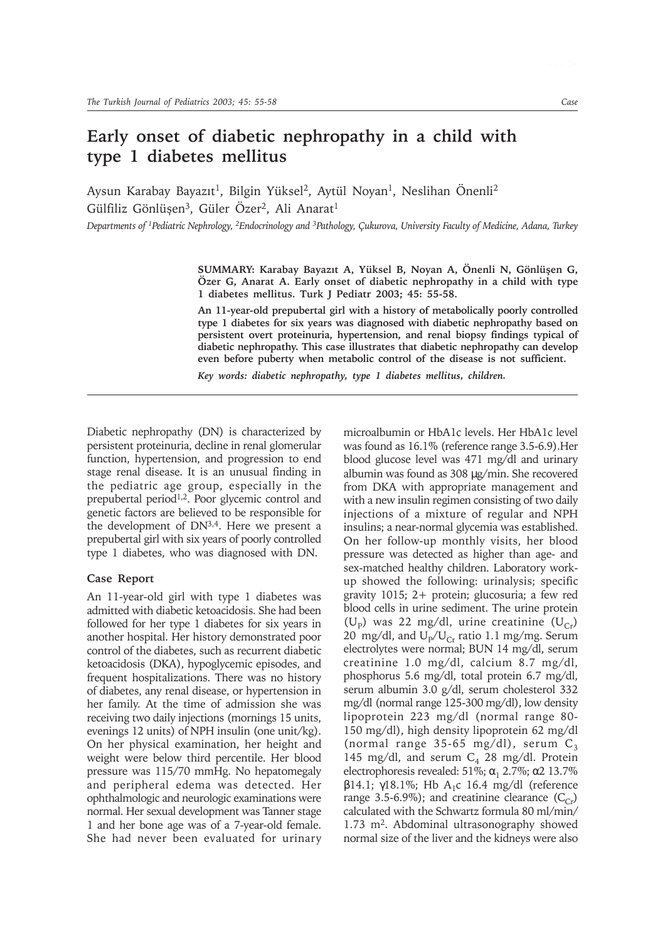## **Early onset of diabetic nephropathy in a child with type 1 diabetes mellitus**

Aysun Karabay Bayazıt<sup>1</sup>, Bilgin Yüksel<sup>2</sup>, Aytül Noyan<sup>1</sup>, Neslihan Önenli<sup>2</sup> Gülfiliz Gönlüsen<sup>3</sup>, Güler Özer<sup>2</sup>, Ali Anarat<sup>1</sup>

*Departments of 1Pediatric Nephrology, 2Endocrinology and 3Pathology, Çukurova, University Faculty of Medicine, Adana, Turkey*

SUMMARY: Karabay Bayazıt A, Yüksel B, Noyan A, Önenli N, Gönlüşen G, **Özer G, Anarat A. Early onset of diabetic nephropathy in a child with type 1 diabetes mellitus. Turk J Pediatr 2003; 45: 55-58.**

**An 11-year-old prepubertal girl with a history of metabolically poorly controlled type 1 diabetes for six years was diagnosed with diabetic nephropathy based on persistent overt proteinuria, hypertension, and renal biopsy findings typical of diabetic nephropathy. This case illustrates that diabetic nephropathy can develop even before puberty when metabolic control of the disease is not sufficient.**

*Key words: diabetic nephropathy, type 1 diabetes mellitus, children.*

Diabetic nephropathy (DN) is characterized by persistent proteinuria, decline in renal glomerular function, hypertension, and progression to end stage renal disease. It is an unusual finding in the pediatric age group, especially in the prepubertal period<sup>1,2</sup>. Poor glycemic control and genetic factors are believed to be responsible for the development of DN3,4. Here we present a prepubertal girl with six years of poorly controlled type 1 diabetes, who was diagnosed with DN.

## **Case Report**

An 11-year-old girl with type 1 diabetes was admitted with diabetic ketoacidosis. She had been followed for her type 1 diabetes for six years in another hospital. Her history demonstrated poor control of the diabetes, such as recurrent diabetic ketoacidosis (DKA), hypoglycemic episodes, and frequent hospitalizations. There was no history of diabetes, any renal disease, or hypertension in her family. At the time of admission she was receiving two daily injections (mornings 15 units, evenings 12 units) of NPH insulin (one unit/kg). On her physical examination, her height and weight were below third percentile. Her blood pressure was 115/70 mmHg. No hepatomegaly and peripheral edema was detected. Her ophthalmologic and neurologic examinations were normal. Her sexual development was Tanner stage 1 and her bone age was of a 7-year-old female. She had never been evaluated for urinary microalbumin or HbA1c levels. Her HbA1c level was found as 16.1% (reference range 3.5-6.9).Her blood glucose level was 471 mg/dl and urinary albumin was found as 308 µg/min. She recovered from DKA with appropriate management and with a new insulin regimen consisting of two daily injections of a mixture of regular and NPH insulins; a near-normal glycemia was established. On her follow-up monthly visits, her blood pressure was detected as higher than age- and sex-matched healthy children. Laboratory workup showed the following: urinalysis; specific gravity 1015; 2+ protein; glucosuria; a few red blood cells in urine sediment. The urine protein (U<sub>p</sub>) was 22 mg/dl, urine creatinine (U<sub>Cr</sub>) 20 mg/dl, and  $U_{p}/U_{Cr}$  ratio 1.1 mg/mg. Serum electrolytes were normal; BUN 14 mg/dl, serum creatinine 1.0 mg/dl, calcium 8.7 mg/dl, phosphorus 5.6 mg/dl, total protein 6.7 mg/dl, serum albumin 3.0 g/dl, serum cholesterol 332 mg/dl (normal range 125-300 mg/dl), low density lipoprotein 223 mg/dl (normal range 80- 150 mg/dl), high density lipoprotein 62 mg/dl (normal range 35-65 mg/dl), serum  $C_3$ 145 mg/dl, and serum  $C_4$  28 mg/dl. Protein electrophoresis revealed: 51%;  $\alpha_1$  2.7%; α2 13.7% β14.1; γ18.1%; Hb A<sub>1</sub>c 16.4 mg/dl (reference range 3.5-6.9%); and creatinine clearance  $(C_{Cr})$ calculated with the Schwartz formula 80 ml/min/ 1.73 m<sup>2</sup>. Abdominal ultrasonography showed normal size of the liver and the kidneys were also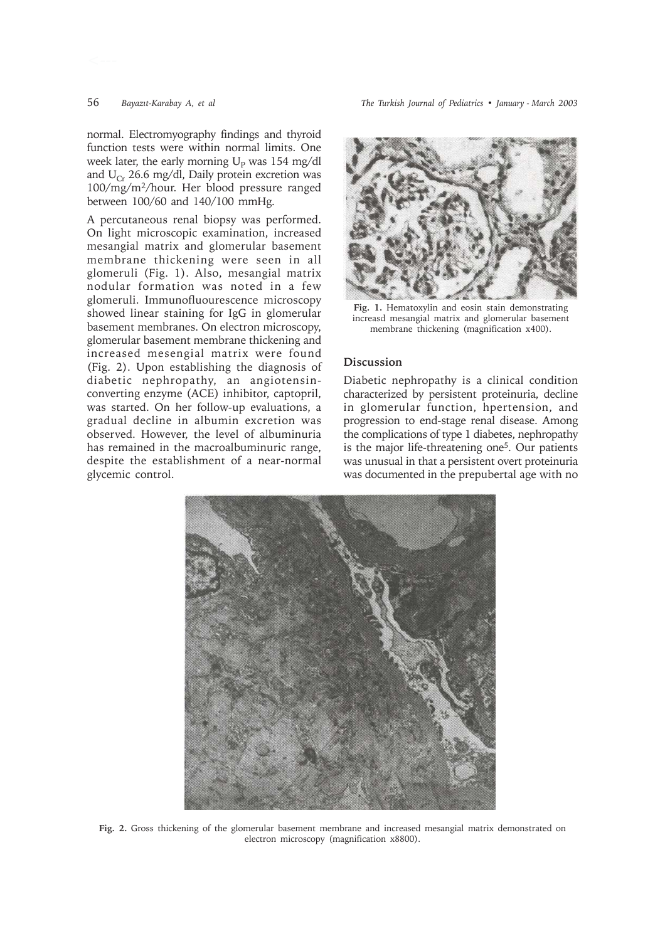56 *Bayazýt-Karabay A, et al The Turkish Journal of Pediatrics • January - March 2003*

normal. Electromyography findings and thyroid function tests were within normal limits. One week later, the early morning  $U_p$  was 154 mg/dl and  $U_{Cr}$  26.6 mg/dl, Daily protein excretion was 100/mg/m2/hour. Her blood pressure ranged between 100/60 and 140/100 mmHg.

A percutaneous renal biopsy was performed. On light microscopic examination, increased mesangial matrix and glomerular basement membrane thickening were seen in all glomeruli (Fig. 1). Also, mesangial matrix nodular formation was noted in a few glomeruli. Immunofluourescence microscopy showed linear staining for IgG in glomerular basement membranes. On electron microscopy, glomerular basement membrane thickening and increased mesengial matrix were found (Fig. 2). Upon establishing the diagnosis of diabetic nephropathy, an angiotensinconverting enzyme (ACE) inhibitor, captopril, was started. On her follow-up evaluations, a gradual decline in albumin excretion was observed. However, the level of albuminuria has remained in the macroalbuminuric range, despite the establishment of a near-normal glycemic control.



**Fig. 1.** Hematoxylin and eosin stain demonstrating increasd mesangial matrix and glomerular basement membrane thickening (magnification x400).

## **Discussion**

Diabetic nephropathy is a clinical condition characterized by persistent proteinuria, decline in glomerular function, hpertension, and progression to end-stage renal disease. Among the complications of type 1 diabetes, nephropathy is the major life-threatening one<sup>5</sup>. Our patients was unusual in that a persistent overt proteinuria was documented in the prepubertal age with no



**Fig. 2.** Gross thickening of the glomerular basement membrane and increased mesangial matrix demonstrated on electron microscopy (magnification x8800).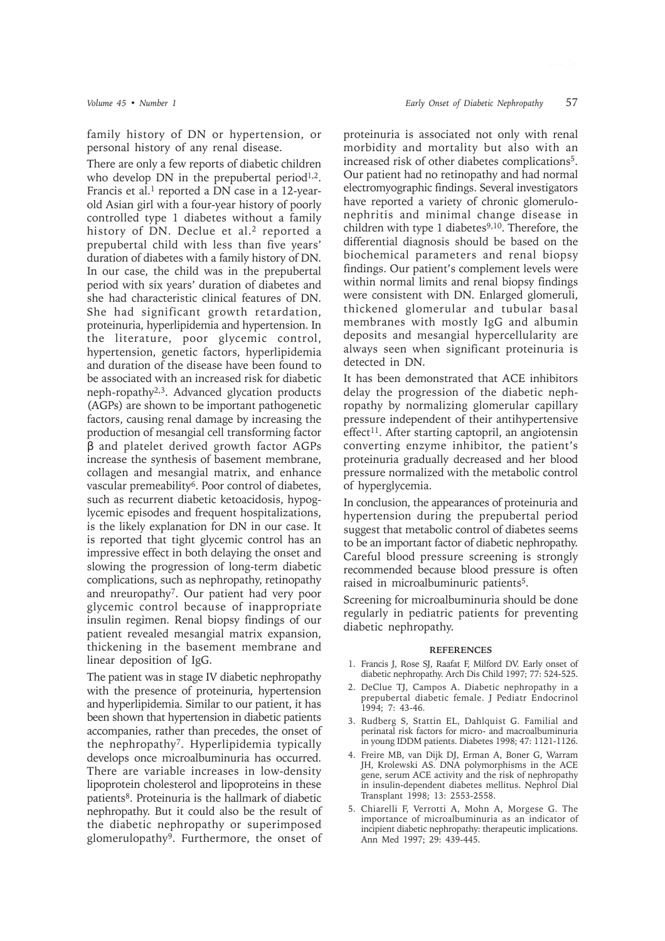There are only a few reports of diabetic children who develop DN in the prepubertal period<sup>1,2</sup>. Francis et al.<sup>1</sup> reported a DN case in a 12-yearold Asian girl with a four-year history of poorly controlled type 1 diabetes without a family history of DN. Declue et al.<sup>2</sup> reported a prepubertal child with less than five years' duration of diabetes with a family history of DN. In our case, the child was in the prepubertal period with six years' duration of diabetes and she had characteristic clinical features of DN. She had significant growth retardation, proteinuria, hyperlipidemia and hypertension. In the literature, poor glycemic control, hypertension, genetic factors, hyperlipidemia and duration of the disease have been found to be associated with an increased risk for diabetic neph-ropathy2,3. Advanced glycation products (AGPs) are shown to be important pathogenetic factors, causing renal damage by increasing the production of mesangial cell transforming factor β and platelet derived growth factor AGPs increase the synthesis of basement membrane, collagen and mesangial matrix, and enhance vascular premeability<sup>6</sup>. Poor control of diabetes, such as recurrent diabetic ketoacidosis, hypoglycemic episodes and frequent hospitalizations, is the likely explanation for DN in our case. It is reported that tight glycemic control has an impressive effect in both delaying the onset and slowing the progression of long-term diabetic complications, such as nephropathy, retinopathy and nreuropathy7. Our patient had very poor glycemic control because of inappropriate insulin regimen. Renal biopsy findings of our patient revealed mesangial matrix expansion, thickening in the basement membrane and linear deposition of IgG.

The patient was in stage IV diabetic nephropathy with the presence of proteinuria, hypertension and hyperlipidemia. Similar to our patient, it has been shown that hypertension in diabetic patients accompanies, rather than precedes, the onset of the nephropathy7. Hyperlipidemia typically develops once microalbuminuria has occurred. There are variable increases in low-density lipoprotein cholesterol and lipoproteins in these patients8. Proteinuria is the hallmark of diabetic nephropathy. But it could also be the result of the diabetic nephropathy or superimposed glomerulopathy9. Furthermore, the onset of proteinuria is associated not only with renal morbidity and mortality but also with an increased risk of other diabetes complications<sup>5</sup>. Our patient had no retinopathy and had normal electromyographic findings. Several investigators have reported a variety of chronic glomerulonephritis and minimal change disease in children with type 1 diabetes $9,10$ . Therefore, the differential diagnosis should be based on the biochemical parameters and renal biopsy findings. Our patient's complement levels were within normal limits and renal biopsy findings were consistent with DN. Enlarged glomeruli, thickened glomerular and tubular basal membranes with mostly IgG and albumin deposits and mesangial hypercellularity are always seen when significant proteinuria is detected in DN.

It has been demonstrated that ACE inhibitors delay the progression of the diabetic nephropathy by normalizing glomerular capillary pressure independent of their antihypertensive effect<sup>11</sup>. After starting captopril, an angiotensin converting enzyme inhibitor, the patient's proteinuria gradually decreased and her blood pressure normalized with the metabolic control of hyperglycemia.

In conclusion, the appearances of proteinuria and hypertension during the prepubertal period suggest that metabolic control of diabetes seems to be an important factor of diabetic nephropathy. Careful blood pressure screening is strongly recommended because blood pressure is often raised in microalbuminuric patients5.

Screening for microalbuminuria should be done regularly in pediatric patients for preventing diabetic nephropathy.

## **REFERENCES**

- 1. Francis J, Rose SJ, Raafat F, Milford DV. Early onset of diabetic nephropathy. Arch Dis Child 1997; 77: 524-525.
- 2. DeClue TJ, Campos A. Diabetic nephropathy in a prepubertal diabetic female. J Pediatr Endocrinol 1994; 7: 43-46.
- 3. Rudberg S, Stattin EL, Dahlquist G. Familial and perinatal risk factors for micro- and macroalbuminuria in young IDDM patients. Diabetes 1998; 47: 1121-1126.
- 4. Freire MB, van Dijk DJ, Erman A, Boner G, Warram JH, Krolewski AS. DNA polymorphisms in the ACE gene, serum ACE activity and the risk of nephropathy in insulin-dependent diabetes mellitus. Nephrol Dial Transplant 1998; 13: 2553-2558.
- 5. Chiarelli F, Verrotti A, Mohn A, Morgese G. The importance of microalbuminuria as an indicator of incipient diabetic nephropathy: therapeutic implications. Ann Med 1997; 29: 439-445.